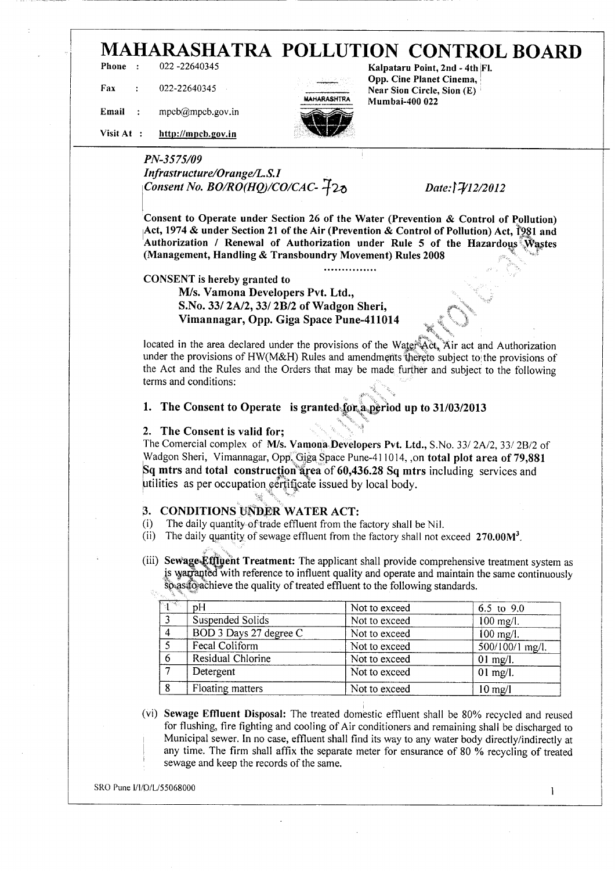# **MAHARASHATRA POLLUTION CONTROL BOARD**

**Phone : 022 -22640345**

**Fax : 022-22640345**



**Kalpataru Point, 2nd - 4th Fl. \_\_. \_ :.; Opp. Cine Planet Cinema, . Near Sion Circle, Sion (E) MAHARASHTRA Mumbai-400 022**

v\*

**Email : mpcb@mpcb.gov. in**

**Visit At : http://inncb.gov.in**

## *PN-3575/09 Infrastructure/Orange/LS.I Consent No. BO/RO(HQ)/CO/CAC-*  $\overline{4}$ 20 *Date:* $\overline{3}$ *V12/2012*

**Consent to Operate under Section 26 of the Water (Prevention & Control of Pollution) Act, 1974 & under Section 21 of the Air (Prevention & Control of Pollution) Act, 1981 and Authorization / Renewal of Authorization under Rule 5 of the Hazardous (Management, Handling** *&* **Transboundry Movement) Rules 2008**

...............

#### **CONSENT is hereby granted to**

**M/s. Vamona Developers Pvt. Ltd., S.No. 337 2A/2, 337 2B/2 of Wadgon Sheri, Vimannagar, Opp. Giga Space Pune-411014 \_ ;**

located in the area declared under the provisions of the Water Act, Air act and Authorization under the provisions of HW(M&H) Rules and amendments thereto subject to the provisions of the Act and the Rules and the Orders that may be made further and subject to the following terms and conditions:

## **1. The Consent to Operate is granted £pr,a,period up to 31/03/2013**

#### **2. The Consent is valid for;**

The Comercial complex of M/s. **Vamona Developers Pvt. Ltd.,** S.No. 337 2A/2, 33/ 2B/2 of Wadgon Sheri, Vimannagar, Opp, Giga Space Pune-411014, ,on **total plot area of 79,881 Sq mtrs** and **total construction area** of 60,436.28 Sq mtrs including services and utilities as per occupation certificate issued by local body.

## **3. CONDITIONS UNDER WATER ACT:**

- (i) The daily quantity of trade effluent from the factory shall be Nil.
- (ii) The daily quantity of sewage effluent from the factory shall not exceed  $270.00M<sup>3</sup>$ .
- (iii) Sewage Effluent Treatment: The applicant shall provide comprehensive treatment system as is warrapted with reference to influent quality and operate and maintain the same continuously so as to achieve the quality of treated effluent to the following standards.

| ित कर | pΗ                     | Not to exceed | $6.5$ to $9.0$    |
|-------|------------------------|---------------|-------------------|
|       | Suspended Solids       | Not to exceed | $100$ mg/l.       |
|       | BOD 3 Days 27 degree C | Not to exceed | $100$ mg/l.       |
|       | Fecal Coliform         | Not to exceed | $500/100/1$ mg/l. |
|       | Residual Chlorine      | Not to exceed | 01 mg/l.          |
|       | Detergent              | Not to exceed | 01 mg/l.          |
| 8     | Floating matters       | Not to exceed | $10$ mg/l         |

(vi) **Sewage Effluent Disposal:** The treated domestic effluent shall be 80% recycled and reused for flushing, fire fighting and cooling of Air conditioners and remaining shall be discharged to Municipal sewer. In no case, effluent shall find its way to any water body directly/indirectly at any time. The firm shall affix the separate meter for ensurance of 80 % recycling of treated sewage and keep the records of the same.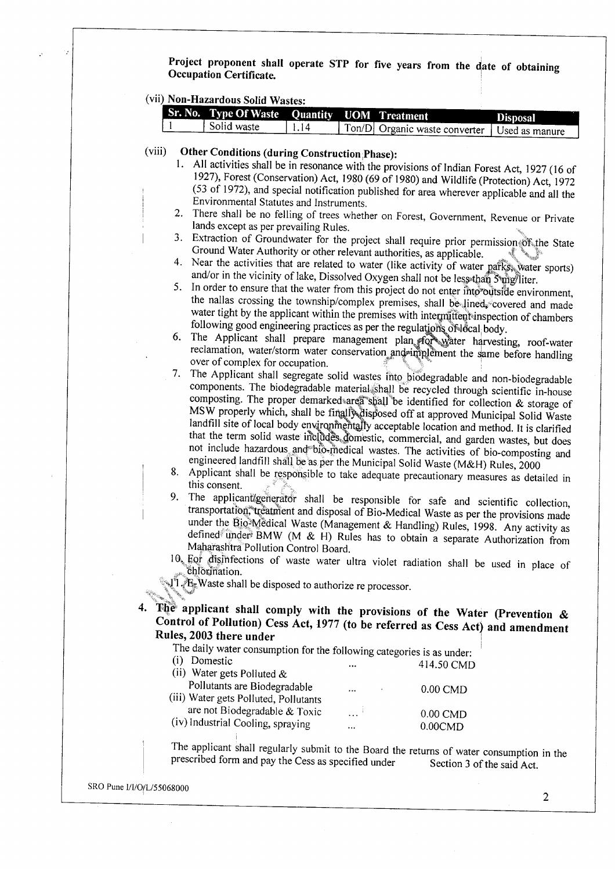Project proponent shall operate STP for five years from the date of obtaining **Occupation Certificate.**

(vii) **Non-Hazardous Solid Wastes:**

|  | <b>Sr. No. Type Of Waste Quantity UOM Treatment</b> |            |                                                 | <b>Disposal</b> |
|--|-----------------------------------------------------|------------|-------------------------------------------------|-----------------|
|  | Solid waste                                         | $\sqrt{4}$ | Ton/D  Organic waste converter   Used as manure |                 |

### (viii) **Other Conditions (during Construction ;Phase):**

- 1. All activities shall be in resonance with the provisions of Indian Forest Act, 1927 (16 of 1927), Forest (Conservation) Act, 1980 (69 of 1980) and Wildlife (Protection) Act, 1972  $(53 \n$  of 1972), and special notification published for area wherever applicable and all the ! Environmental Statutes and Instruments.
- 2. There shall be no felling of trees whether on Forest,  $G_1$  Covernment, Revenue or Private or Private or Private experiment, Revenue or Private or Private or Private or Private or Private or Private or Private or Priva lands except as next prevailing Rules.
	- $\frac{1}{2}$ . Extraction of Groundwater for the project shall require prior permission of  $\frac{1}{2}$ Ground Water Authority or other relevant authorities, as applicable. ' ' • Ground Water Authority or other relevant authorities, as applicable.<br>4. Near the activities that are related to water (like activity of water parks, water sports)
	- and/or in the vicinity of lake, Dissolved Oxygen shall not be less than Sung/liter.
	- 5. In order to ensure that the water from this project do not enter into'outside environment, the nallas crossing the township/complex premises, shall be lined, covered and made water tight by the applicant within the premises with intermittent-inspection of chambers following good engineering practices as per the regulations of Jocal body.
	- 6. The Applicant shall prepare management plan for water harvesting, roof-water reclamation, water/storm water conservation and implement the same before handling over of complex for occupation.
	- 7. The Applicant shall segregate solid wastes into biodegradable and non-biodegradable components. The biodegradable material shall be recycled through scientific in-house composting. The proper demarked area shall be identified for collection & storage of MSW properly which, shall be finally disposed off at approved Municipal Solid Waste landfill site of local body environmentally acceptable location and method. It is clarified that the term solid waste includes, domestic, commercial, and garden wastes, but does not include hazardous and' bio-medical wastes. The activities of bio-composting and engineered landfill shall be as per the Municipal Solid Waste (M&H) Rules, 2000  $\frac{8.8}{\text{A}}$  because the responsible to take adequate precautive values,  $\frac{2000}{\text{A}}$
	- . .<br>is consent...
	- 9. The applicant/generator shall be responsible for safe and scientific collection, transportation, treatment and disposal of Bio-Medical Waste as per the provisions made under the Bio-Medical Waste (Management & Handling) Rules, 1998. Any activity as defined under BMW (M & H) Rules has to obtain a separate Authorization from Maharashtra Pollution Control Board.
	- $\frac{1}{2}$  For disinfections of waste water ultra violet rediction shall be used in place of used in place of  $\frac{1}{2}$  $\th$  chlorination.

**Fig. Waste shall be disposed to authorize re processor.** 

**4. The applicant shall comply with the provisions of the Water (Prevention & Control of Pollution) Cess Act,** 1977 **(to be referred as Cess Act) and amendment Rules, 2003 there under**

|  | The daily water consumption for the following categories is as under |  |
|--|----------------------------------------------------------------------|--|
|  |                                                                      |  |
|  |                                                                      |  |

|          | 414.50 CMD |
|----------|------------|
|          |            |
| $\cdots$ | $0.00$ CMD |
|          |            |
| .        | $0.00$ CMD |
|          |            |

(iv) Industrial Cooling, spraying ... 0.00CMD  $\epsilon$  applicant shall regularly submit to the Board the returns of water consumption in the set

 $\frac{1}{2}$  preserve to the second the fouries of water consumption in

SRO Pune l/l/O/L/55068000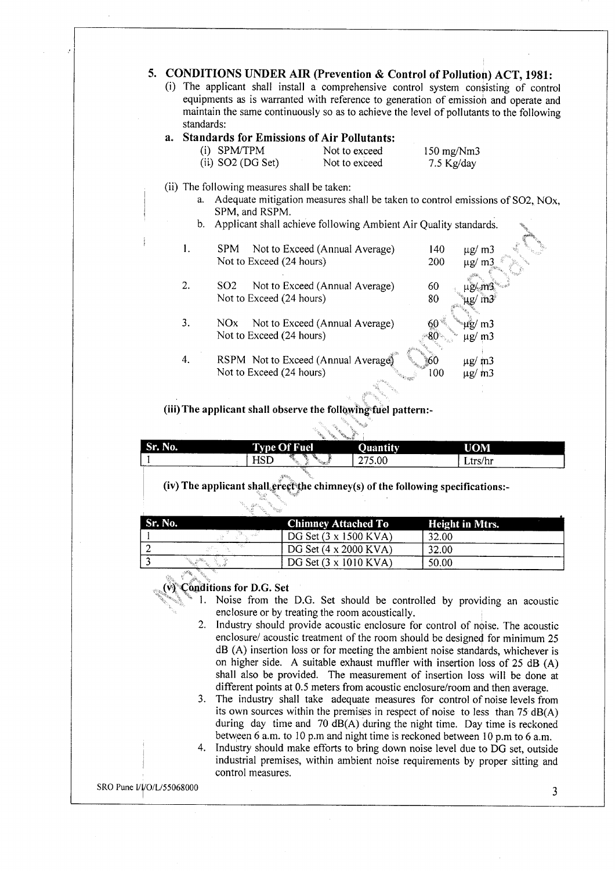## **5. CONDITIONS UNDER AIR (Prevention & Control of Pollutioji) ACT, 1981:**

(i) The applicant shall install a comprehensive control system consisting of control equipments as is warranted with reference to generation of emission and operate and maintain the same continuously so as to achieve the level of pollutants to the following standards:

#### **a. Standards for Emissions of Air Pollutants:**

| (i) | SPM/TPM               |
|-----|-----------------------|
|     | $\alpha$ and $\alpha$ |

Not to exceed 150 mg/Nm3 (ii)  $SO2 (DG Set)$  Not to exceed 7.5 Kg/day

- (ii) The following measures shall be taken:
	- a. Adequate mitigation measures shall be taken to control emissions of SO2, NOx, SPM, and RSPM.
	- b. Applicant shall achieve following Ambient Air Quality standards.

| I. | Not to Exceed (Annual Average)<br>SPM             | 140        | $\mu$ g/ m $\frac{3}{2}$ |
|----|---------------------------------------------------|------------|--------------------------|
|    | Not to Exceed (24 hours)                          | <b>200</b> | ug/                      |
|    |                                                   |            |                          |
| 2. | Not to Exceed (Annual Average)<br>SO <sub>2</sub> | 60         |                          |
|    | Not to Exceed (24 hours)                          | 80         |                          |
|    |                                                   |            |                          |
| 3. | Not to Exceed (Annual Average)<br>NO <sub>x</sub> |            | m <sub>3</sub>           |
|    | Not to Exceed (24 hours)                          |            | m <sub>3</sub><br>μg/    |
|    |                                                   |            |                          |
| 4. | RSPM Not to Exceed (Annual Average)               |            | $\mu$ g/ m3              |
|    | Not to Exceed (24 hours)                          | 100        | $\mu$ g/ m3              |
|    |                                                   |            |                          |

#### **(Hi)The applicant shall observe the following fuel pattern:-**

|         | <b>SANCHO</b><br><b>PAGE</b>                      |                            |                          |
|---------|---------------------------------------------------|----------------------------|--------------------------|
| Sr. No. | <b>Type Of Fuel</b>                               | <b>Quantity</b>            | <b>UOM</b>               |
|         | ٣X.<br>- 92<br>HSD<br>w.<br>79. L<br><b>SALES</b> | 75.00<br>275<br>، ت<br>--- | Ltrs/hr                  |
|         |                                                   |                            | $\overline{\phantom{a}}$ |

**(iv) The applicant shalUerectijie chimney(s) of the following specifications:-**

| Sr. No. |          | <b>Chimney Attached To</b>           | <b>Height in Mtrs.</b> |
|---------|----------|--------------------------------------|------------------------|
|         |          | DG Set $(3 \times 1500 \text{ KVA})$ | 32.00                  |
|         |          | DG Set $(4 \times 2000 \text{ KVA})$ | 32.00                  |
|         | 20 Hours | DG Set $(3 \times 1010 \text{ KVA})$ | 50.00                  |

#### **(v) Conditions for D.G. Set**

- 1. Noise from the D.G. Set should be controlled by providing an acoustic enclosure or by treating the room acoustically.
- 2. Industry should provide acoustic enclosure for control of noise. The acoustic enclosure/ acoustic treatment of the room should be designed for minimum 25 dB (A) insertion loss or for meeting the ambient noise standards, whichever is on higher side. A suitable exhaust muffler with insertion loss of 25 dB (A) shall also be provided. The measurement of insertion loss will be done at different points at 0.5 meters from acoustic enclosure/room and then average.
- 3. The industry shall take adequate measures for control of noise levels from its own sources within the premises in respect of noise to less than  $75 \text{ dB}(A)$ during day time and 70 dB(A) during the night time. Day time is reckoned between 6 a.m. to 10 p.m and night time is reckoned between 10 p.m to 6 a.m.
- 4. Industry should make efforts to bring down noise level due to DG set, outside industrial premises, within ambient noise requirements by proper sitting and control measures.

SRO Pune I/I/O/L/55068000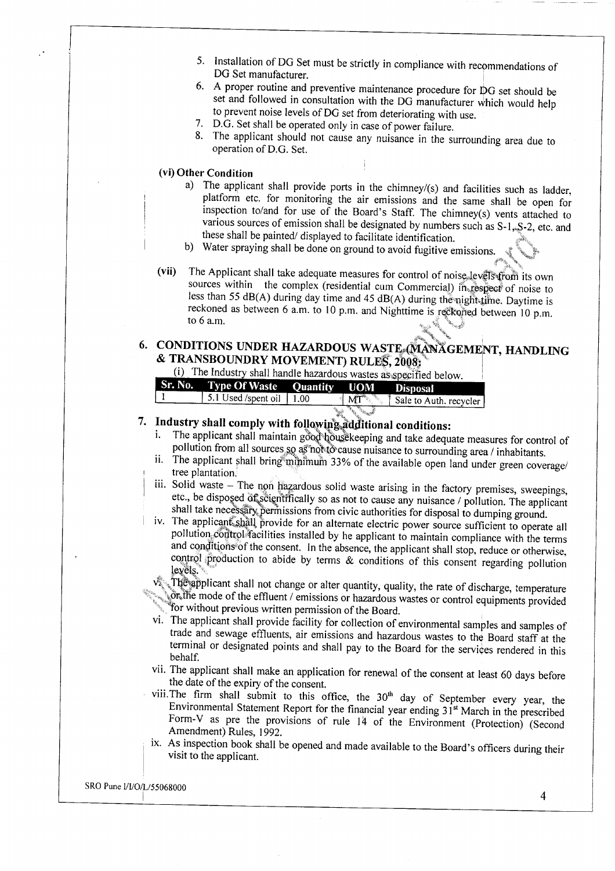- $5.$  Installation of DG Set must be strictly in compliance with recommendations of  $\mathcal{L}$ DG Set manufacturer
- 16. A proper routine and preventive maintenance procedure for DG set should be set and followed in consultation with the DG manufacturer which would help to prevent noise levels of DG set from deteriorating with use.
- 7. D.G. Set shall be operated only in case of power failure.
- 8. The applicant should not cause any nuisance in the surrounding area due to operation of D.G. Set.

#### **(vi) Other Condition**

- a) The applicant shall provide ports in the chimney/(s) and facilities such as ladder, platform etc. for monitoring the air emissions and the same shall be open for inspection to/and for use of the Board's Staff. The chimney(s) vents attached to various sources of emission shall be designated by numbers such as  $S-1$ ,  $S-2$ , etc. and these shall be painted/ displayed to facilitate identification.
- b) Water spraying shall be done on ground to avoid fugitive emissions.
- (vii) The Applicant shall take adequate measures for control of noise, levels from its own sources within the complex (residential cum Commercial) in respect of noise to less than 55 dB(A) during day time and 45 dB(A) during the night time. Daytime is  $\frac{1}{2}$  and  $\frac{1}{2}$  and  $\frac{1}{2}$  and  $\frac{1}{2}$  and  $\frac{1}{2}$  and  $\frac{1}{2}$  and  $\frac{1}{2}$  p.m. is reckoned as between 6 a.m. to 10 p.m. and Nighttime is reflexive 1.10 p.m. 10 eckoned as between 6 a.m. to 10 p.m. and Nighttime is reckoned as between 6 a.m.

## **CONDITIONS UNDER HAZARDOUS WASTE OLAN CEMENT, HANDLING**  $\&$  TRANSBOUNDRY MOVEMENT) RULES, 2008;

 $\sum_{i=1}^{n}$  The Industry shall handle hazardous wastes as anonified below.

| Sr. No. Type Of Waste Quantity UOM Disposal |              |                                                    |
|---------------------------------------------|--------------|----------------------------------------------------|
| 5.1 Used /spent oil $\vert$ 1.00            | . M $T^*$    | . <sup>8</sup> Sale to Auth. recycler <sup>1</sup> |
|                                             | <b>Capta</b> |                                                    |

## **Industry shall comply with following additional conditions:**

- The applicant shall maintain good housekeeping and take adequate measures for control of pollution from all sources so as not to cause nuisance to surrounding area / inhabitants.
- The applicant shall bring minimum  $\frac{33\%}{\sqrt{2}}$  of the available open land under  $\frac{1}{\sqrt{2}}$ . tree plantation.
- $\sim$  Solid waste The non hazardous solid waste arising in the factory premises of substitution of  $\sim$ etc., be disposed of scientifically so as not to cause any nuisance / pollution. The applicant shall take necessary permissions from civic authorities for disposal to dumping ground.
- The applicant, shall provide for an alternate electric power source  $\mathcal{L}(\mathcal{L})$  ground. pollution control facilities installed by he applicant to maintain compliance with the terms and conditions of the consent. In the absence, the applicant shall stop, reduce or otherwise,  $\alpha$  production to abide by terms  $\&$  conditions of this consent regarding political production to abide by terms  $\&$  conditions of this consent regarding political political production of the consent regarding politica  $\text{vels.}$

The applicant shall not change or alter quantity, quality, the rate of discharge, the same of discharge, the same .or, the mode of the effluent / emissions or hazardous wastes or control equipments provided "for without previous written permission of the Board.

- The applicant shall provide facility for collection of environmental samples  $\mathbf{v}_1 \cdot \mathbf{v}_2 = \mathbf{v}_1 \cdot \mathbf{v}_2 = \mathbf{v}_1 \cdot \mathbf{v}_2 = \mathbf{v}_2$ trade and sewage effluents, air emissions and hazardous wastes to the Board staff at the  $t_{\rm c}$  terminal or designated points and shall pay to the Board for the services rendered in the services rendered in the services rendered in the services rendered in the services rendered in the service rendered in th half.
- . The applicant shall make an application for renewal of the consent  $\alpha$  days before  $\alpha$  days before  $\alpha$ the date of the expiry of the consent.
- the date of the expiry of the consent.<br>viii. The firm shall submit to this office, the  $30<sup>th</sup>$  day of September every year, the Environmental Statement Report for the financial year ending 31<sup>st</sup> March in the prescribed Form-V as pre the provisions of rule 14 of the Environment (Protection) (Second Amendment) Rules, 1992.
- As inspection book shall be opened and made available to the Board's  $\mathcal{E}$  for  $\mathcal{E}$ vit to the applicant.

SRO Pune l/I/O/L/55068000